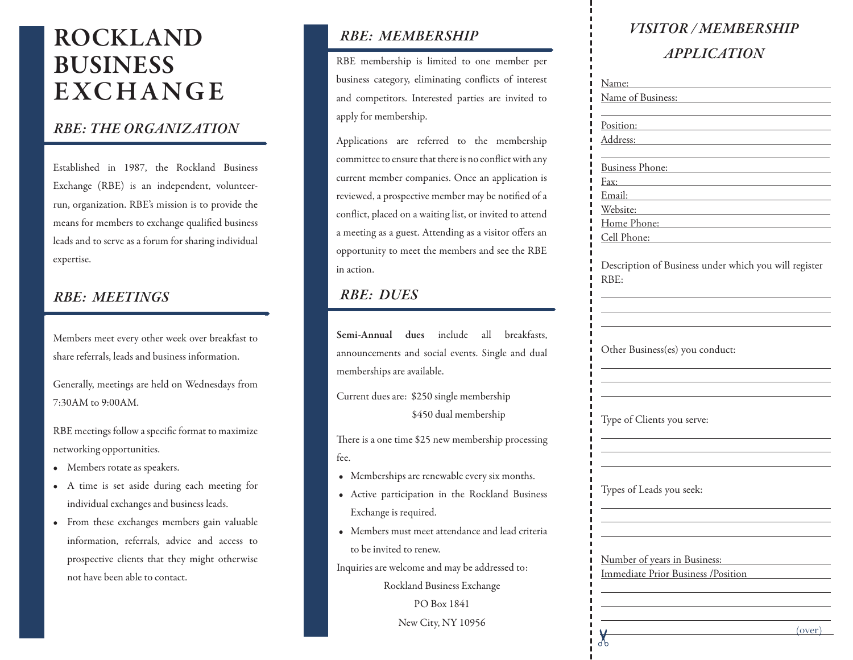## **ROCKLAND**  ROCKLAND **BUSINESS** BUSINESS **E X CH A NGE** E XC H A N G E

### *RBE: THE ORGANIZATION RBE: THE ORGANIZATION*

Established in January 1987, the Rockland Business Exchange (RBE) is an independent,  $\mathcal{O}$  volume or  $\mathcal{O}$  is the profit organization.  $\begin{bmatrix} 0 & 1 \ 0 & 0 & 0 \end{bmatrix}$ members to exchange qualified business leads.  $\mathcal{O}$ individual expertise. Established in 1987, the Rockland Business Exchange (RBE) is an independent, volunteerrun, organization. RBE's mission is to provide the means for members to exchange qualified business leads and to serve as a forum for sharing individual expertise.

### *RBE: MEETINGS RBE: MEETINGS*

Members meet every two weeks over breakfast  $t_{\rm{maxmax}}$  and  $t_{\rm{maxmax}}$  and  $t_{\rm{maxmax}}$  and  $t_{\rm{maxmaxmax}}$ Members meet every other week over breakfast to share referrals, leads and business information.

Generally, meetings are held on Wednesdays Generally, meetings are held on Wednesdays from 7:30AM to 9:00AM.

RBE meetings follow a specific format to RBE meetings follow a specific format to maximize networking opportunities.

- Members rotate as speakers. Members rotate as speakers.
- A time is set aside during each meeting for A time is set aside during each meeting for individual exchanges and business leads. individual exchanges and business leads.
- From these exchanges members gain From these exchanges members gain valuable information, referrals, advice and access to prospective clients that they might otherwise not have been able to contact.

### *RBE: MEMBERSHIP RBE: MEMBERSHIP*

RBE membership is limited to one member per RBE membership is limited to one member per business category, eliminating conflicts of business category, eliminating conflicts of interest and competitors. Interested parties are invited to apply for membership.

Applications are referred to the membership Applications are referred to the membership committee to ensure that there is no conflict committee to ensure that there is no conflict with any with any current member companies. Once any current member companies. Once any current member companies. Once a current member companies. Once an application is reviewed, a prospective member may be notified of a conflict, placed on a waiting list, or invited to attend a meeting as a guest. Attending as a visitor offers an opportunity to meet the members and see the RBE in action.

### *RBE: DUES RBE: DUES*

Semi-Annual dues include all breakfasts, announcements and social events. Single and dual current dues  $\mathbf{r}$  single membership membership membership membership membership membership membership membership membership membership membership membership membership membership membership membership membership member memberships are available.

Current dues are: \$250 single membership \$450 dual membership

There is a one time \$25 new membership processing  $\mathcal{C}$ fee.

- Memberships are renewable every six months.
- Active participation in the Rockland Business Active participation in the Rockland Business  $\begin{bmatrix} 1 & 1 \\ 1 & 1 \end{bmatrix}$ Exchange is required.
- Members must meet attendance and lead Members must meet attendance and lead criteria to be invited to renew.

Inquiries are welcome and may be addressed to: Inquiries are welcome and may be addressed to:

Rockland Business Exchange Rockland Business Exchange

 $\overline{1} \cup \overline{D}$ PO Box 1841

New City, NY 10956. New City, NY 10956

### *VISITOR/MEMBERSHIP VISITOR / MEMBERSHIP APPLICATION APPLICATION*

| Name:                                                                                                                           |        |
|---------------------------------------------------------------------------------------------------------------------------------|--------|
| Name of Business:                                                                                                               |        |
| Position:                                                                                                                       |        |
| Address:                                                                                                                        |        |
| Business Phone:                                                                                                                 |        |
| Fax:<br>the control of the control of the control of the control of                                                             |        |
| Email:<br><u> 1980 - Andrea Station Barbara, actor a contrador de la contrador de la contrador de la contrador de la contra</u> |        |
| Website:                                                                                                                        |        |
| Home Phone:                                                                                                                     |        |
| Cell Phone:                                                                                                                     |        |
| Description of Business under which you will register<br>RBE:                                                                   |        |
|                                                                                                                                 |        |
| Other Business(es) you conduct:                                                                                                 |        |
| Type of Clients you serve:                                                                                                      |        |
| Types of Leads you seek:                                                                                                        |        |
| Number of years in Business:<br>Immediate Prior Business /Position                                                              |        |
|                                                                                                                                 |        |
|                                                                                                                                 |        |
|                                                                                                                                 | (over) |